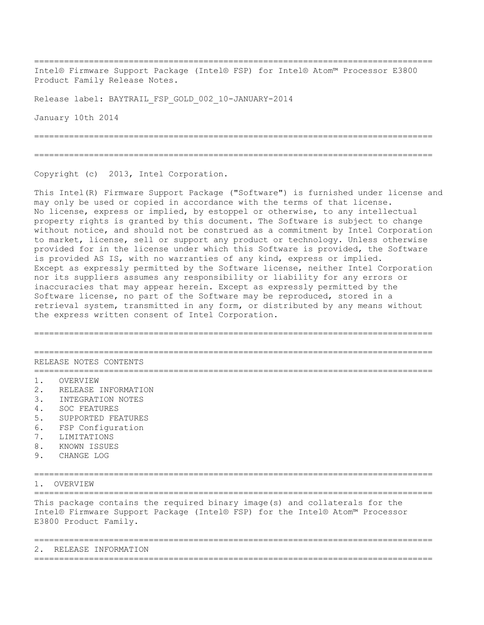================================================================================

Intel® Firmware Support Package (Intel® FSP) for Intel® Atom™ Processor E3800 Product Family Release Notes.

Release label: BAYTRAIL\_FSP\_GOLD\_002\_10-JANUARY-2014

January 10th 2014

================================================================================

================================================================================

Copyright (c) 2013, Intel Corporation.

This Intel(R) Firmware Support Package ("Software") is furnished under license and may only be used or copied in accordance with the terms of that license. No license, express or implied, by estoppel or otherwise, to any intellectual property rights is granted by this document. The Software is subject to change without notice, and should not be construed as a commitment by Intel Corporation to market, license, sell or support any product or technology. Unless otherwise provided for in the license under which this Software is provided, the Software is provided AS IS, with no warranties of any kind, express or implied. Except as expressly permitted by the Software license, neither Intel Corporation nor its suppliers assumes any responsibility or liability for any errors or inaccuracies that may appear herein. Except as expressly permitted by the Software license, no part of the Software may be reproduced, stored in a retrieval system, transmitted in any form, or distributed by any means without the express written consent of Intel Corporation.

================================================================================ ================================================================================ RELEASE NOTES CONTENTS ================================================================================ 1. OVERVIEW 2. RELEASE INFORMATION 3. INTEGRATION NOTES 4. SOC FEATURES 5. SUPPORTED FEATURES 6. FSP Configuration 7. LIMITATIONS 8. KNOWN ISSUES 9. CHANGE LOG ================================================================================ 1. OVERVIEW ================================================================================ This package contains the required binary image(s) and collaterals for the Intel® Firmware Support Package (Intel® FSP) for the Intel® Atom™ Processor E3800 Product Family. ================================================================================ 2. RELEASE INFORMATION ================================================================================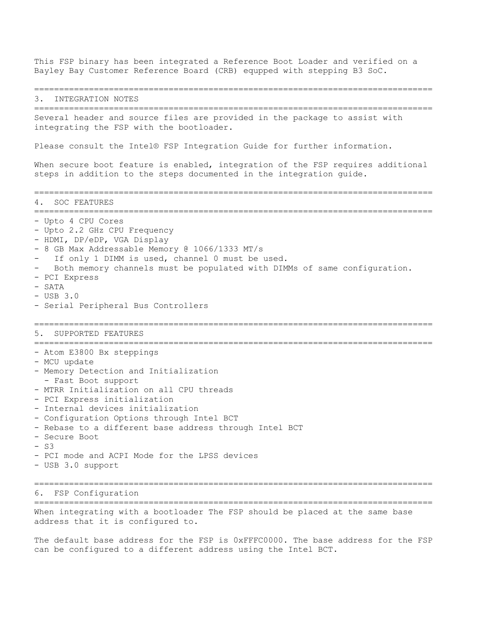This FSP binary has been integrated a Reference Boot Loader and verified on a Bayley Bay Customer Reference Board (CRB) equpped with stepping B3 SoC. ================================================================================ 3. INTEGRATION NOTES ================================================================================ Several header and source files are provided in the package to assist with integrating the FSP with the bootloader. Please consult the Intel® FSP Integration Guide for further information. When secure boot feature is enabled, integration of the FSP requires additional steps in addition to the steps documented in the integration guide. ================================================================================ 4. SOC FEATURES ================================================================================ - Upto 4 CPU Cores - Upto 2.2 GHz CPU Frequency - HDMI, DP/eDP, VGA Display - 8 GB Max Addressable Memory @ 1066/1333 MT/s If only 1 DIMM is used, channel 0 must be used. Both memory channels must be populated with DIMMs of same configuration. - PCI Express - SATA - USB 3.0 - Serial Peripheral Bus Controllers ================================================================================ 5. SUPPORTED FEATURES ================================================================================ - Atom E3800 Bx steppings - MCU update - Memory Detection and Initialization - Fast Boot support - MTRR Initialization on all CPU threads - PCI Express initialization - Internal devices initialization - Configuration Options through Intel BCT - Rebase to a different base address through Intel BCT - Secure Boot  $- 93$ - PCI mode and ACPI Mode for the LPSS devices - USB 3.0 support ================================================================================ 6. FSP Configuration ================================================================================ When integrating with a bootloader The FSP should be placed at the same base address that it is configured to.

The default base address for the FSP is 0xFFFC0000. The base address for the FSP can be configured to a different address using the Intel BCT.